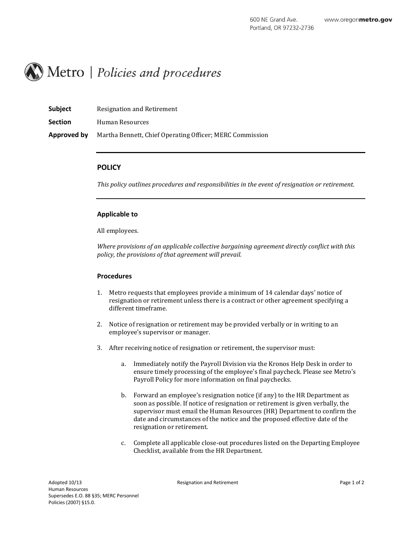

| <b>Subject</b> | <b>Resignation and Retirement</b> |  |
|----------------|-----------------------------------|--|
|----------------|-----------------------------------|--|

**Section** Human Resources

**Approved by** Martha Bennett, Chief Operating Officer; MERC Commission

# **POLICY**

*This policy outlines procedures and responsibilities in the event of resignation or retirement.*

## **Applicable to**

All employees.

*Where provisions of an applicable collective bargaining agreement directly conflict with this policy, the provisions of that agreement will prevail.*

## **Procedures**

- 1. Metro requests that employees provide a minimum of 14 calendar days' notice of resignation or retirement unless there is a contract or other agreement specifying a different timeframe.
- 2. Notice of resignation or retirement may be provided verbally or in writing to an employee's supervisor or manager.
- 3. After receiving notice of resignation or retirement, the supervisor must:
	- a. Immediately notify the Payroll Division via the Kronos Help Desk in order to ensure timely processing of the employee's final paycheck. Please see Metro's Payroll Policy for more information on final paychecks.
	- b. Forward an employee's resignation notice (if any) to the HR Department as soon as possible. If notice of resignation or retirement is given verbally, the supervisor must email the Human Resources (HR) Department to confirm the date and circumstances of the notice and the proposed effective date of the resignation or retirement.
	- c. Complete all applicable close-out procedures listed on the Departing Employee Checklist, available from the HR Department.